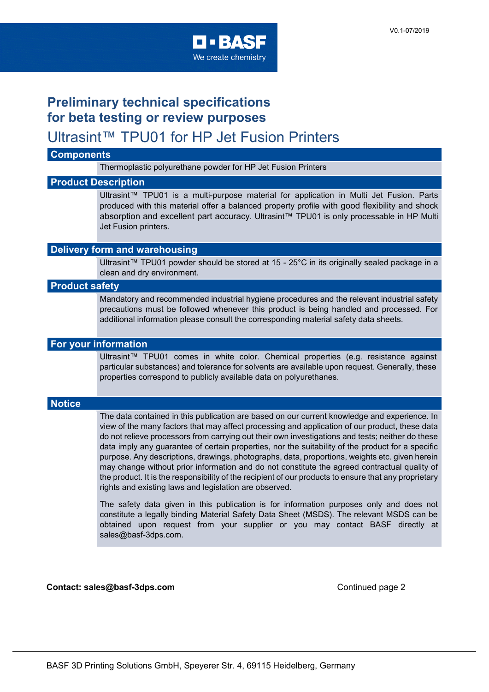

## **Preliminary technical specifications for beta testing or review purposes**

### Ultrasint™ TPU01 for HP Jet Fusion Printers

#### **Components**

Thermoplastic polyurethane powder for HP Jet Fusion Printers

#### **Product Description**

Ultrasint™ TPU01 is a multi-purpose material for application in Multi Jet Fusion. Parts produced with this material offer a balanced property profile with good flexibility and shock absorption and excellent part accuracy. Ultrasint™ TPU01 is only processable in HP Multi Jet Fusion printers.

#### **Delivery form and warehousing**

Ultrasint™ TPU01 powder should be stored at 15 - 25°C in its originally sealed package in a clean and dry environment.

#### **Product safety**

Mandatory and recommended industrial hygiene procedures and the relevant industrial safety precautions must be followed whenever this product is being handled and processed. For additional information please consult the corresponding material safety data sheets.

#### **For your information**

Ultrasint™ TPU01 comes in white color. Chemical properties (e.g. resistance against particular substances) and tolerance for solvents are available upon request. Generally, these properties correspond to publicly available data on polyurethanes.

#### **Notice**

The data contained in this publication are based on our current knowledge and experience. In view of the many factors that may affect processing and application of our product, these data do not relieve processors from carrying out their own investigations and tests; neither do these data imply any guarantee of certain properties, nor the suitability of the product for a specific purpose. Any descriptions, drawings, photographs, data, proportions, weights etc. given herein may change without prior information and do not constitute the agreed contractual quality of the product. It is the responsibility of the recipient of our products to ensure that any proprietary rights and existing laws and legislation are observed.

The safety data given in this publication is for information purposes only and does not constitute a legally binding Material Safety Data Sheet (MSDS). The relevant MSDS can be obtained upon request from your supplier or you may contact BASF directly at sales@basf-3dps.com.

#### **Contact: sales@basf-3dps.com** Continued page 2